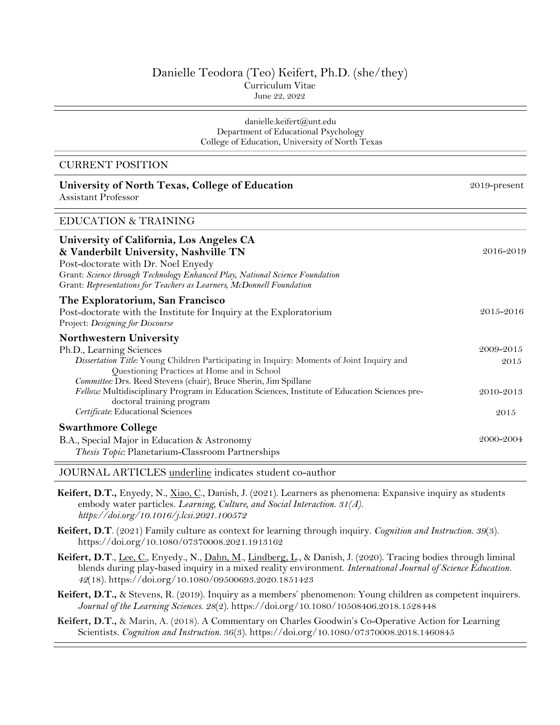# Danielle Teodora (Teo) Keifert, Ph.D. (she/they) Curriculum Vitae June 22, 2022

#### danielle.keifert@unt.edu Department of Educational Psychology College of Education, University of North Texas

2019-present

## CURRENT POSITION

# **University of North Texas, College of Education** Assistant Professor

# EDUCATION & TRAINING

| University of California, Los Angeles CA<br>& Vanderbilt University, Nashville TN<br>Post-doctorate with Dr. Noel Enyedy<br>Grant: Science through Technology Enhanced Play, National Science Foundation<br>Grant: Representations for Teachers as Learners, McDonnell Foundation | 2016-2019         |
|-----------------------------------------------------------------------------------------------------------------------------------------------------------------------------------------------------------------------------------------------------------------------------------|-------------------|
| The Exploratorium, San Francisco<br>Post-doctorate with the Institute for Inquiry at the Exploratorium<br>Project: Designing for Discourse                                                                                                                                        | 2015-2016         |
| <b>Northwestern University</b><br>Ph.D., Learning Sciences<br>Dissertation Title: Young Children Participating in Inquiry: Moments of Joint Inquiry and<br>Questioning Practices at Home and in School<br>Committee: Drs. Reed Stevens (chair), Bruce Sherin, Jim Spillane        | 2009-2015<br>2015 |
| Fellow: Multidisciplinary Program in Education Sciences, Institute of Education Sciences pre-<br>doctoral training program<br>Certificate: Educational Sciences                                                                                                                   | 2010-2013<br>2015 |
| <b>Swarthmore College</b><br>B.A., Special Major in Education & Astronomy<br>Thesis Topic: Planetarium-Classroom Partnerships                                                                                                                                                     | 2000-2004         |

JOURNAL ARTICLES underline indicates student co-author

- **Keifert, D.T.,** Enyedy, N., Xiao, C., Danish, J. (2021). Learners as phenomena: Expansive inquiry as students embody water particles. *Learning, Culture, and Social Interaction. 31(A). https://doi.org/10.1016/j.lcsi.2021.100572*
- **Keifert, D.T**. (2021) Family culture as context for learning through inquiry. *Cognition and Instruction. 39*(3). https://doi.org/10.1080/07370008.2021.1913162
- **Keifert, D.T**., Lee, C., Enyedy., N., Dahn, M., Lindberg, L., & Danish, J. (2020). Tracing bodies through liminal blends during play-based inquiry in a mixed reality environment. *International Journal of Science Education. 42*(18)*.* https://doi.org/10.1080/09500693.2020.1851423
- **Keifert, D.T.,** & Stevens, R. (2019). Inquiry as a members' phenomenon: Young children as competent inquirers. *Journal of the Learning Sciences*. *28*(2). https://doi.org/10.1080/10508406.2018.1528448
- **Keifert, D.T.,** & Marin, A. (2018). A Commentary on Charles Goodwin's Co-Operative Action for Learning Scientists. *Cognition and Instruction*. 36(3). https://doi.org/10.1080/07370008.2018.1460845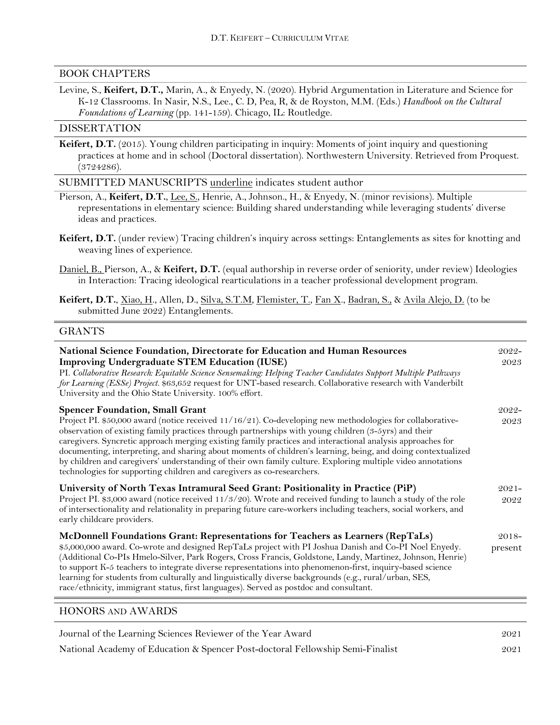# BOOK CHAPTERS

Levine, S., **Keifert, D.T.,** Marin, A., & Enyedy, N. (2020). Hybrid Argumentation in Literature and Science for K-12 Classrooms. In Nasir, N.S., Lee., C. D, Pea, R, & de Royston, M.M. (Eds.) *Handbook on the Cultural Foundations of Learning* (pp. 141-159). Chicago, IL: Routledge.

### DISSERTATION

**Keifert, D.T.** (2015). Young children participating in inquiry: Moments of joint inquiry and questioning practices at home and in school (Doctoral dissertation). Northwestern University. Retrieved from Proquest. (3724286).

SUBMITTED MANUSCRIPTS underline indicates student author

- Pierson, A., **Keifert, D.T.**, Lee, S., Henrie, A., Johnson., H., & Enyedy, N. (minor revisions). Multiple representations in elementary science: Building shared understanding while leveraging students' diverse ideas and practices.
- **Keifert, D.T.** (under review) Tracing children's inquiry across settings: Entanglements as sites for knotting and weaving lines of experience.
- Daniel, B., Pierson, A., & **Keifert, D.T.** (equal authorship in reverse order of seniority, under review) Ideologies in Interaction: Tracing ideological rearticulations in a teacher professional development program.
- **Keifert, D.T.**, Xiao, H., Allen, D., Silva, S.T.M, Flemister, T., Fan X., Badran, S., & Avila Alejo, D. (to be submitted June 2022) Entanglements.

### GRANTS

| National Science Foundation, Directorate for Education and Human Resources<br><b>Improving Undergraduate STEM Education (IUSE)</b><br>PI. Collaborative Research: Equitable Science Sensemaking: Helping Teacher Candidates Support Multiple Pathways<br>for Learning (ESSe) Project. \$63,652 request for UNT-based research. Collaborative research with Vanderbilt<br>University and the Ohio State University. 100% effort.                                                                                                                                                                                      | $2022 -$<br>2023    |
|----------------------------------------------------------------------------------------------------------------------------------------------------------------------------------------------------------------------------------------------------------------------------------------------------------------------------------------------------------------------------------------------------------------------------------------------------------------------------------------------------------------------------------------------------------------------------------------------------------------------|---------------------|
| <b>Spencer Foundation, Small Grant</b><br>Project PI. \$50,000 award (notice received 11/16/21). Co-developing new methodologies for collaborative-                                                                                                                                                                                                                                                                                                                                                                                                                                                                  | $2022 -$<br>2023    |
| observation of existing family practices through partnerships with young children (3-5yrs) and their<br>caregivers. Syncretic approach merging existing family practices and interactional analysis approaches for<br>documenting, interpreting, and sharing about moments of children's learning, being, and doing contextualized<br>by children and caregivers' understanding of their own family culture. Exploring multiple video annotations<br>technologies for supporting children and caregivers as co-researchers.                                                                                          |                     |
| University of North Texas Intramural Seed Grant: Positionality in Practice (PiP)<br>Project PI. \$3,000 award (notice received 11/3/20). Wrote and received funding to launch a study of the role<br>of intersectionality and relationality in preparing future care-workers including teachers, social workers, and<br>early childcare providers.                                                                                                                                                                                                                                                                   | $2021 -$<br>2022    |
| McDonnell Foundations Grant: Representations for Teachers as Learners (RepTaLs)<br>\$5,000,000 award. Co-wrote and designed RepTaLs project with PI Joshua Danish and Co-PI Noel Enyedy.<br>(Additional Co-PIs Hmelo-Silver, Park Rogers, Cross Francis, Goldstone, Landy, Martinez, Johnson, Henrie)<br>to support K-5 teachers to integrate diverse representations into phenomenon-first, inquiry-based science<br>learning for students from culturally and linguistically diverse backgrounds (e.g., rural/urban, SES,<br>race/ethnicity, immigrant status, first languages). Served as postdoc and consultant. | $2018 -$<br>present |

# HONORS AND AWARDS

| Journal of the Learning Sciences Reviewer of the Year Award                    | 2021 |
|--------------------------------------------------------------------------------|------|
| National Academy of Education & Spencer Post-doctoral Fellowship Semi-Finalist | 2021 |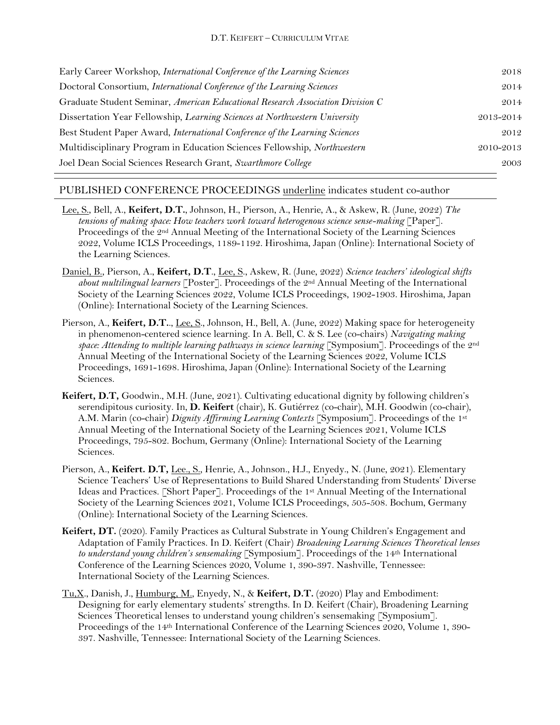| Early Career Workshop, International Conference of the Learning Sciences       | 2018      |
|--------------------------------------------------------------------------------|-----------|
| Doctoral Consortium, International Conference of the Learning Sciences         | 2014      |
| Graduate Student Seminar, American Educational Research Association Division C | 2014      |
| Dissertation Year Fellowship, Learning Sciences at Northwestern University     | 2013-2014 |
| Best Student Paper Award, International Conference of the Learning Sciences    | 2012      |
| Multidisciplinary Program in Education Sciences Fellowship, Northwestern       | 2010-2013 |
| Joel Dean Social Sciences Research Grant, Swarthmore College                   | 2003      |

# PUBLISHED CONFERENCE PROCEEDINGS underline indicates student co-author

- Lee, S., Bell, A., **Keifert, D.T.**, Johnson, H., Pierson, A., Henrie, A., & Askew, R. (June, 2022) *The tensions of making space: How teachers work toward heterogenous science sense-making* [Paper]. Proceedings of the 2nd Annual Meeting of the International Society of the Learning Sciences 2022, Volume ICLS Proceedings, 1189-1192. Hiroshima, Japan (Online): International Society of the Learning Sciences.
- Daniel, B., Pierson, A., **Keifert, D.T**., Lee, S., Askew, R. (June, 2022) *Science teachers' ideological shifts about multilingual learners* [Poster]. Proceedings of the 2nd Annual Meeting of the International Society of the Learning Sciences 2022, Volume ICLS Proceedings, 1902-1903. Hiroshima, Japan (Online): International Society of the Learning Sciences.
- Pierson, A., **Keifert, D.T.**., Lee, S., Johnson, H., Bell, A. (June, 2022) Making space for heterogeneity in phenomenon-centered science learning. In A. Bell, C. & S. Lee (co-chairs) *Navigating making space: Attending to multiple learning pathways in science learning* [Symposium]. Proceedings of the 2nd Annual Meeting of the International Society of the Learning Sciences 2022, Volume ICLS Proceedings, 1691-1698. Hiroshima, Japan (Online): International Society of the Learning Sciences.
- **Keifert, D.T,** Goodwin., M.H. (June, 2021). Cultivating educational dignity by following children's serendipitous curiosity. In, **D. Keifert** (chair), K. Gutiérrez (co-chair), M.H. Goodwin (co-chair), A.M. Marin (co-chair) *Dignity Affirming Learning Contexts* [Symposium]. Proceedings of the 1st Annual Meeting of the International Society of the Learning Sciences 2021, Volume ICLS Proceedings, 795-802. Bochum, Germany (Online): International Society of the Learning Sciences.
- Pierson, A., Keifert. D.T, Lee., S., Henrie, A., Johnson., H.J., Enyedy., N. (June, 2021). Elementary Science Teachers' Use of Representations to Build Shared Understanding from Students' Diverse Ideas and Practices. [Short Paper]. Proceedings of the 1st Annual Meeting of the International Society of the Learning Sciences 2021, Volume ICLS Proceedings, 505-508. Bochum, Germany (Online): International Society of the Learning Sciences.
- **Keifert, DT.** (2020). Family Practices as Cultural Substrate in Young Children's Engagement and Adaptation of Family Practices. In D. Keifert (Chair) *Broadening Learning Sciences Theoretical lenses to understand young children's sensemaking* [Symposium]*.* Proceedings of the 14th International Conference of the Learning Sciences 2020, Volume 1, 390-397. Nashville, Tennessee: International Society of the Learning Sciences.
- Tu,X., Danish, J., Humburg, M., Enyedy, N., & **Keifert, D.T.** (2020) Play and Embodiment: Designing for early elementary students' strengths. In D. Keifert (Chair), Broadening Learning Sciences Theoretical lenses to understand young children's sensemaking [Symposium]. Proceedings of the 14th International Conference of the Learning Sciences 2020, Volume 1, 390- 397. Nashville, Tennessee: International Society of the Learning Sciences.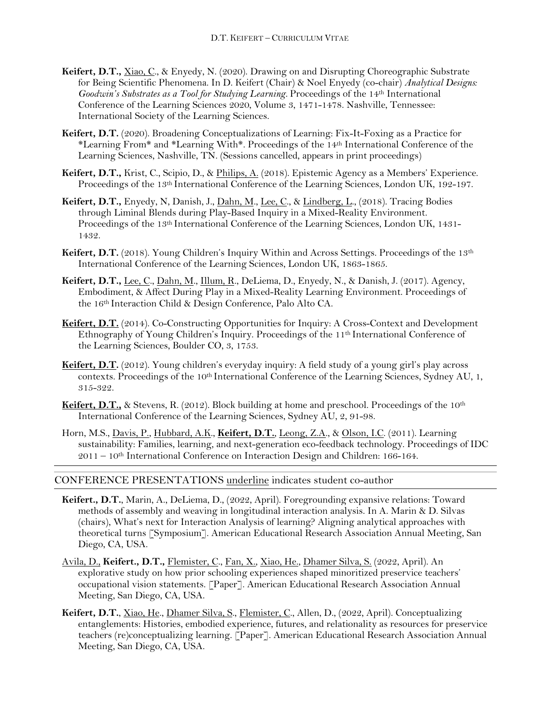- **Keifert, D.T.,** Xiao, C., & Enyedy, N. (2020). Drawing on and Disrupting Choreographic Substrate for Being Scientific Phenomena. In D. Keifert (Chair) & Noel Enyedy (co-chair) *Analytical Designs: Goodwin's Substrates as a Tool for Studying Learning.* Proceedings of the 14th International Conference of the Learning Sciences 2020, Volume 3, 1471-1478. Nashville, Tennessee: International Society of the Learning Sciences.
- **Keifert, D.T.** (2020). Broadening Conceptualizations of Learning: Fix-It-Foxing as a Practice for \*Learning From\* and \*Learning With\*. Proceedings of the 14th International Conference of the Learning Sciences, Nashville, TN. (Sessions cancelled, appears in print proceedings)
- **Keifert, D.T.,** Krist, C., Scipio, D., & Philips, A. (2018). Epistemic Agency as a Members' Experience. Proceedings of the 13th International Conference of the Learning Sciences, London UK, 192-197.
- **Keifert, D.T.,** Enyedy, N, Danish, J., Dahn, M., Lee, C., & Lindberg, L., (2018). Tracing Bodies through Liminal Blends during Play-Based Inquiry in a Mixed-Reality Environment. Proceedings of the 13th International Conference of the Learning Sciences, London UK, 1431- 1432.
- **Keifert, D.T.** (2018). Young Children's Inquiry Within and Across Settings. Proceedings of the 13<sup>th</sup> International Conference of the Learning Sciences, London UK, 1863-1865.
- **Keifert, D.T.,** Lee, C., Dahn, M., Illum, R., DeLiema, D., Enyedy, N., & Danish, J. (2017). Agency, Embodiment, & Affect During Play in a Mixed-Reality Learning Environment. Proceedings of the 16th Interaction Child & Design Conference, Palo Alto CA.
- Keifert, D.T. (2014). Co-Constructing Opportunities for Inquiry: A Cross-Context and Development Ethnography of Young Children's Inquiry. Proceedings of the 11th International Conference of the Learning Sciences, Boulder CO, 3, 1753.
- **Keifert, D.T.** (2012). Young children's everyday inquiry: A field study of a young girl's play across contexts. Proceedings of the 10th International Conference of the Learning Sciences, Sydney AU, 1, 315-322.
- **Keifert, D.T.,** & Stevens, R. (2012). Block building at home and preschool. Proceedings of the 10<sup>th</sup> International Conference of the Learning Sciences, Sydney AU, 2, 91-98.
- Horn, M.S., Davis, P., Hubbard, A.K., **Keifert, D.T.**, Leong, Z.A., & Olson, I.C. (2011). Learning sustainability: Families, learning, and next-generation eco-feedback technology. Proceedings of IDC 2011 – 10th International Conference on Interaction Design and Children: 166-164.

# CONFERENCE PRESENTATIONS underline indicates student co-author

- **Keifert., D.T.**, Marin, A., DeLiema, D., (2022, April). Foregrounding expansive relations: Toward methods of assembly and weaving in longitudinal interaction analysis. In A. Marin & D. Silvas (chairs), What's next for Interaction Analysis of learning? Aligning analytical approaches with theoretical turns [Symposium]. American Educational Research Association Annual Meeting, San Diego, CA, USA.
- Avila, D., **Keifert., D.T.,** Flemister, C., Fan, X., Xiao, He., Dhamer Silva, S. (2022, April). An explorative study on how prior schooling experiences shaped minoritized preservice teachers' occupational vision statements. [Paper]. American Educational Research Association Annual Meeting, San Diego, CA, USA.
- **Keifert, D.T.**, Xiao, He., Dhamer Silva, S., Flemister, C., Allen, D., (2022, April). Conceptualizing entanglements: Histories, embodied experience, futures, and relationality as resources for preservice teachers (re)conceptualizing learning. [Paper]. American Educational Research Association Annual Meeting, San Diego, CA, USA.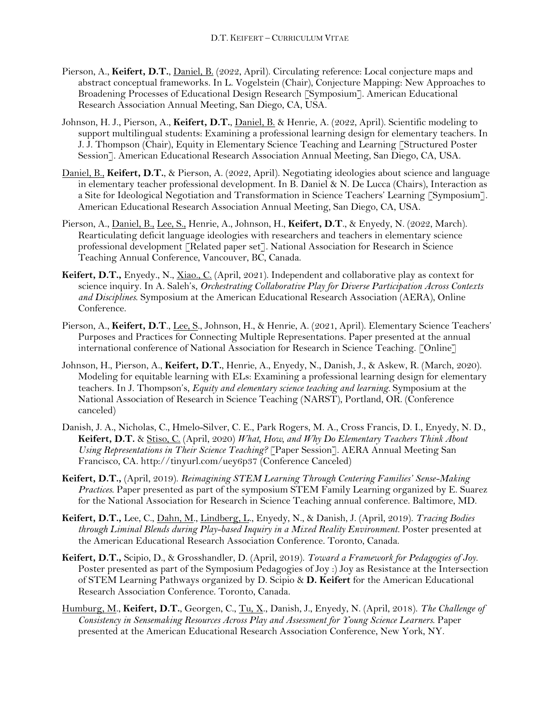- Pierson, A., **Keifert, D.T.**, Daniel, B. (2022, April). Circulating reference: Local conjecture maps and abstract conceptual frameworks. In L. Vogelstein (Chair), Conjecture Mapping: New Approaches to Broadening Processes of Educational Design Research [Symposium]. American Educational Research Association Annual Meeting, San Diego, CA, USA.
- Johnson, H. J., Pierson, A., **Keifert, D.T.**, Daniel, B. & Henrie, A. (2022, April). Scientific modeling to support multilingual students: Examining a professional learning design for elementary teachers. In J. J. Thompson (Chair), Equity in Elementary Science Teaching and Learning [Structured Poster Session]. American Educational Research Association Annual Meeting, San Diego, CA, USA.
- Daniel, B., **Keifert, D.T.**, & Pierson, A. (2022, April). Negotiating ideologies about science and language in elementary teacher professional development. In B. Daniel & N. De Lucca (Chairs), Interaction as a Site for Ideological Negotiation and Transformation in Science Teachers' Learning [Symposium]. American Educational Research Association Annual Meeting, San Diego, CA, USA.
- Pierson, A., Daniel, B., Lee, S., Henrie, A., Johnson, H., **Keifert, D.T**., & Enyedy, N. (2022, March). Rearticulating deficit language ideologies with researchers and teachers in elementary science professional development [Related paper set]. National Association for Research in Science Teaching Annual Conference, Vancouver, BC, Canada.
- **Keifert, D.T.,** Enyedy., N., Xiao., C. (April, 2021). Independent and collaborative play as context for science inquiry. In A. Saleh's, *Orchestrating Collaborative Play for Diverse Participation Across Contexts and Disciplines*. Symposium at the American Educational Research Association (AERA), Online Conference.
- Pierson, A., **Keifert, D.T**., Lee, S., Johnson, H., & Henrie, A. (2021, April). Elementary Science Teachers' Purposes and Practices for Connecting Multiple Representations. Paper presented at the annual international conference of National Association for Research in Science Teaching. [Online]
- Johnson, H., Pierson, A., **Keifert, D.T.**, Henrie, A., Enyedy, N., Danish, J., & Askew, R. (March, 2020). Modeling for equitable learning with ELs: Examining a professional learning design for elementary teachers. In J. Thompson's, *Equity and elementary science teaching and learning.* Symposium at the National Association of Research in Science Teaching (NARST), Portland, OR. (Conference canceled)
- Danish, J. A., Nicholas, C., Hmelo-Silver, C. E., Park Rogers, M. A., Cross Francis, D. I., Enyedy, N. D., **Keifert, D.T.** & Stiso, C. (April, 2020) *What, How, and Why Do Elementary Teachers Think About Using Representations in Their Science Teaching?* [Paper Session]. AERA Annual Meeting San Francisco, CA. http://tinyurl.com/uey6p37 (Conference Canceled)
- **Keifert, D.T.,** (April, 2019). *Reimagining STEM Learning Through Centering Families' Sense-Making Practices*. Paper presented as part of the symposium STEM Family Learning organized by E. Suarez for the National Association for Research in Science Teaching annual conference. Baltimore, MD.
- **Keifert, D.T.,** Lee, C., Dahn, M., Lindberg, L., Enyedy, N., & Danish, J. (April, 2019). *Tracing Bodies through Liminal Blends during Play-based Inquiry in a Mixed Reality Environment.* Poster presented at the American Educational Research Association Conference. Toronto, Canada.
- **Keifert, D.T.,** Scipio, D., & Grosshandler, D. (April, 2019). *Toward a Framework for Pedagogies of Joy.*  Poster presented as part of the Symposium Pedagogies of Joy :) Joy as Resistance at the Intersection of STEM Learning Pathways organized by D. Scipio & **D. Keifert** for the American Educational Research Association Conference. Toronto, Canada.
- Humburg, M., **Keifert, D.T.**, Georgen, C., Tu, X., Danish, J., Enyedy, N. (April, 2018). *The Challenge of Consistency in Sensemaking Resources Across Play and Assessment for Young Science Learners*. Paper presented at the American Educational Research Association Conference, New York, NY.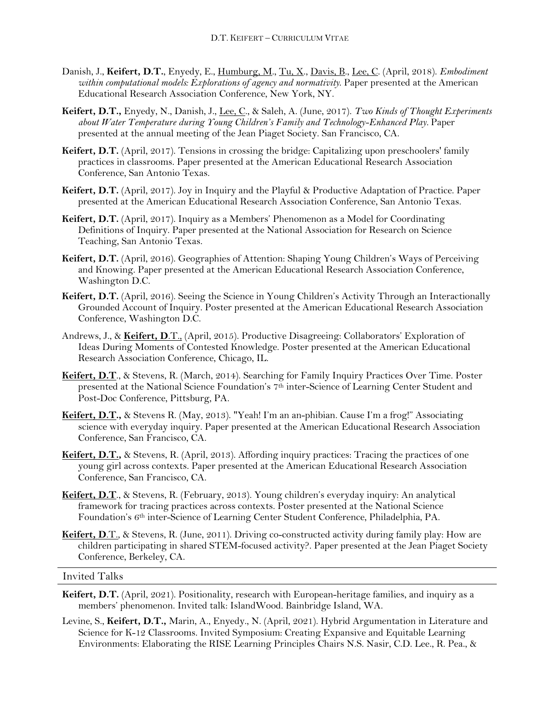- Danish, J., **Keifert, D.T.**, Enyedy, E., Humburg, M., Tu, X., Davis, B., Lee, C. (April, 2018). *Embodiment within computational models: Explorations of agency and normativity*. Paper presented at the American Educational Research Association Conference, New York, NY.
- **Keifert, D.T.,** Enyedy, N., Danish, J., Lee, C., & Saleh, A. (June, 2017). *Two Kinds of Thought Experiments about Water Temperature during Young Children's Family and Technology-Enhanced Play.* Paper presented at the annual meeting of the Jean Piaget Society. San Francisco, CA.
- **Keifert, D.T.** (April, 2017). Tensions in crossing the bridge: Capitalizing upon preschoolers' family practices in classrooms. Paper presented at the American Educational Research Association Conference, San Antonio Texas.
- **Keifert, D.T.** (April, 2017). Joy in Inquiry and the Playful & Productive Adaptation of Practice. Paper presented at the American Educational Research Association Conference, San Antonio Texas.
- **Keifert, D.T.** (April, 2017). Inquiry as a Members' Phenomenon as a Model for Coordinating Definitions of Inquiry. Paper presented at the National Association for Research on Science Teaching, San Antonio Texas.
- **Keifert, D.T.** (April, 2016). Geographies of Attention: Shaping Young Children's Ways of Perceiving and Knowing. Paper presented at the American Educational Research Association Conference, Washington D.C.
- **Keifert, D.T.** (April, 2016). Seeing the Science in Young Children's Activity Through an Interactionally Grounded Account of Inquiry. Poster presented at the American Educational Research Association Conference, Washington D.C.
- Andrews, J., & **Keifert, D**.T., (April, 2015). Productive Disagreeing: Collaborators' Exploration of Ideas During Moments of Contested Knowledge. Poster presented at the American Educational Research Association Conference, Chicago, IL.
- **Keifert, D.T**., & Stevens, R. (March, 2014). Searching for Family Inquiry Practices Over Time. Poster presented at the National Science Foundation's 7<sup>th</sup> inter-Science of Learning Center Student and Post-Doc Conference, Pittsburg, PA.
- **Keifert, D.T.,** & Stevens R. (May, 2013). "Yeah! I'm an an-phibian. Cause I'm a frog!" Associating science with everyday inquiry. Paper presented at the American Educational Research Association Conference, San Francisco, CA.
- **Keifert, D.T.,** & Stevens, R. (April, 2013). Affording inquiry practices: Tracing the practices of one young girl across contexts. Paper presented at the American Educational Research Association Conference, San Francisco, CA.
- **Keifert, D.T**., & Stevens, R. (February, 2013). Young children's everyday inquiry: An analytical framework for tracing practices across contexts. Poster presented at the National Science Foundation's 6th inter-Science of Learning Center Student Conference, Philadelphia, PA.
- **Keifert, D**.T., & Stevens, R. (June, 2011). Driving co-constructed activity during family play: How are children participating in shared STEM-focused activity?. Paper presented at the Jean Piaget Society Conference, Berkeley, CA.

#### Invited Talks

- **Keifert, D.T.** (April, 2021). Positionality, research with European-heritage families, and inquiry as a members' phenomenon. Invited talk: IslandWood. Bainbridge Island, WA.
- Levine, S., **Keifert, D.T.,** Marin, A., Enyedy., N. (April, 2021). Hybrid Argumentation in Literature and Science for K-12 Classrooms. Invited Symposium: Creating Expansive and Equitable Learning Environments: Elaborating the RISE Learning Principles Chairs N.S. Nasir, C.D. Lee., R. Pea., &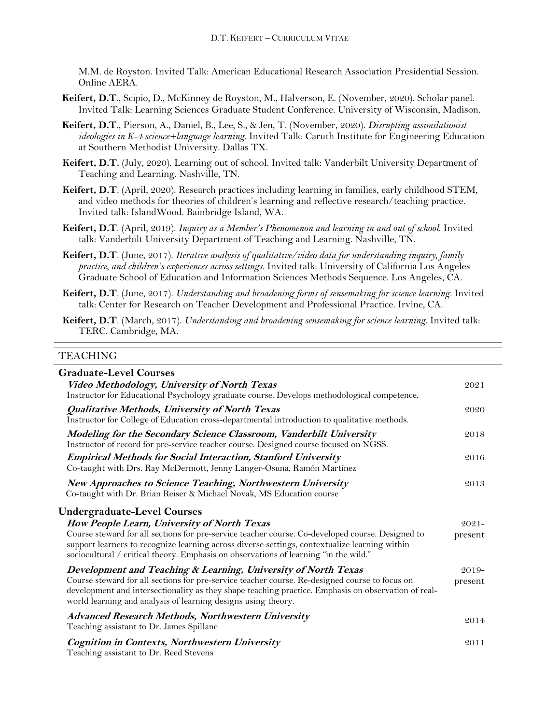M.M. de Royston. Invited Talk: American Educational Research Association Presidential Session. Online AERA.

- **Keifert, D.T**., Scipio, D., McKinney de Royston, M., Halverson, E. (November, 2020). Scholar panel. Invited Talk: Learning Sciences Graduate Student Conference. University of Wisconsin, Madison.
- **Keifert, D.T**., Pierson, A., Daniel, B., Lee, S., & Jen, T. (November, 2020). *Disrupting assimilationist ideologies in K-4 science+language learning.* Invited Talk: Caruth Institute for Engineering Education at Southern Methodist University. Dallas TX.
- **Keifert, D.T.** (July, 2020). Learning out of school. Invited talk: Vanderbilt University Department of Teaching and Learning. Nashville, TN.
- **Keifert, D.T**. (April, 2020). Research practices including learning in families, early childhood STEM, and video methods for theories of children's learning and reflective research/teaching practice. Invited talk: IslandWood. Bainbridge Island, WA.
- **Keifert, D.T**. (April, 2019). *Inquiry as a Member's Phenomenon and learning in and out of school*. Invited talk: Vanderbilt University Department of Teaching and Learning. Nashville, TN.
- **Keifert, D.T**. (June, 2017). *Iterative analysis of qualitative/video data for understanding inquiry, family practice, and children's experiences across settings.* Invited talk: University of California Los Angeles Graduate School of Education and Information Sciences Methods Sequence. Los Angeles, CA.
- **Keifert, D.T**. (June, 2017). *Understanding and broadening forms of sensemaking for science learning.* Invited talk: Center for Research on Teacher Development and Professional Practice. Irvine, CA.
- **Keifert, D.T**. (March, 2017). *Understanding and broadening sensemaking for science learning*. Invited talk: TERC. Cambridge, MA.

### TEACHING

| <b>Graduate-Level Courses</b>                                                                                                                                                                                                                                                             |          |
|-------------------------------------------------------------------------------------------------------------------------------------------------------------------------------------------------------------------------------------------------------------------------------------------|----------|
| Video Methodology, University of North Texas<br>Instructor for Educational Psychology graduate course. Develops methodological competence.                                                                                                                                                | 2021     |
| Qualitative Methods, University of North Texas<br>Instructor for College of Education cross-departmental introduction to qualitative methods.                                                                                                                                             | 2020     |
| Modeling for the Secondary Science Classroom, Vanderbilt University<br>Instructor of record for pre-service teacher course. Designed course focused on NGSS.                                                                                                                              | 2018     |
| <b>Empirical Methods for Social Interaction, Stanford University</b><br>Co-taught with Drs. Ray McDermott, Jenny Langer-Osuna, Ramón Martínez                                                                                                                                             | 2016     |
| <b>New Approaches to Science Teaching, Northwestern University</b><br>Co-taught with Dr. Brian Reiser & Michael Novak, MS Education course                                                                                                                                                | 2013     |
| <b>Undergraduate-Level Courses</b>                                                                                                                                                                                                                                                        |          |
| How People Learn, University of North Texas                                                                                                                                                                                                                                               | $2021 -$ |
| Course steward for all sections for pre-service teacher course. Co-developed course. Designed to<br>support learners to recognize learning across diverse settings, contextualize learning within<br>sociocultural / critical theory. Emphasis on observations of learning "in the wild." | present  |
| Development and Teaching & Learning, University of North Texas                                                                                                                                                                                                                            | $2019-$  |
| Course steward for all sections for pre-service teacher course. Re-designed course to focus on<br>development and intersectionality as they shape teaching practice. Emphasis on observation of real-<br>world learning and analysis of learning designs using theory.                    | present  |
| <b>Advanced Research Methods, Northwestern University</b><br>Teaching assistant to Dr. James Spillane                                                                                                                                                                                     | 2014     |
| <b>Cognition in Contexts, Northwestern University</b><br>Teaching assistant to Dr. Reed Stevens                                                                                                                                                                                           | 2011     |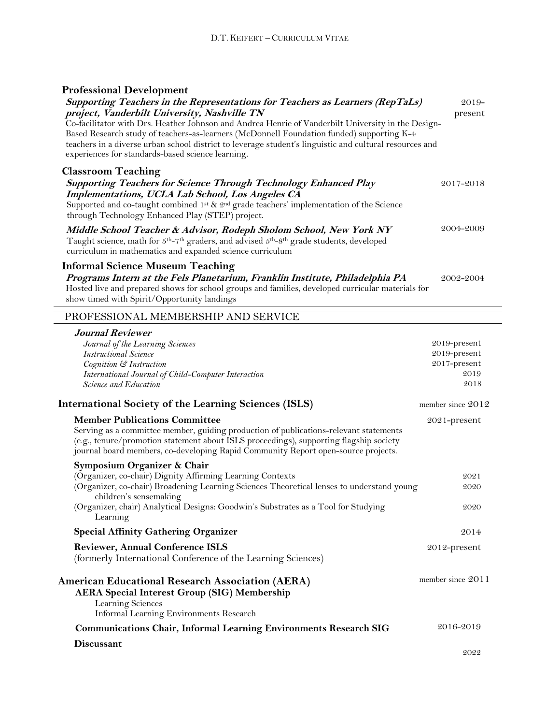| <b>Professional Development</b>                                                                                                                                                                                                                                                                                                                                                                                                                                                                  |                    |
|--------------------------------------------------------------------------------------------------------------------------------------------------------------------------------------------------------------------------------------------------------------------------------------------------------------------------------------------------------------------------------------------------------------------------------------------------------------------------------------------------|--------------------|
| Supporting Teachers in the Representations for Teachers as Learners (RepTaLs)<br>project, Vanderbilt University, Nashville TN<br>Co-facilitator with Drs. Heather Johnson and Andrea Henrie of Vanderbilt University in the Design-<br>Based Research study of teachers-as-learners (McDonnell Foundation funded) supporting K-4<br>teachers in a diverse urban school district to leverage student's linguistic and cultural resources and<br>experiences for standards-based science learning. | $2019-$<br>present |
| <b>Classroom Teaching</b><br><b>Supporting Teachers for Science Through Technology Enhanced Play</b><br>Implementations, UCLA Lab School, Los Angeles CA<br>Supported and co-taught combined 1st & 2 <sup>nd</sup> grade teachers' implementation of the Science<br>through Technology Enhanced Play (STEP) project.                                                                                                                                                                             | 2017-2018          |
| Middle School Teacher & Advisor, Rodeph Sholom School, New York NY<br>Taught science, math for 5 <sup>th</sup> -7 <sup>th</sup> graders, and advised 5 <sup>th</sup> -8 <sup>th</sup> grade students, developed<br>curriculum in mathematics and expanded science curriculum                                                                                                                                                                                                                     | 2004-2009          |
| <b>Informal Science Museum Teaching</b><br>Programs Intern at the Fels Planetarium, Franklin Institute, Philadelphia PA<br>Hosted live and prepared shows for school groups and families, developed curricular materials for<br>show timed with Spirit/Opportunity landings                                                                                                                                                                                                                      | 2002-2004          |
| PROFESSIONAL MEMBERSHIP AND SERVICE                                                                                                                                                                                                                                                                                                                                                                                                                                                              |                    |
| <b>Journal Reviewer</b>                                                                                                                                                                                                                                                                                                                                                                                                                                                                          |                    |
| Journal of the Learning Sciences                                                                                                                                                                                                                                                                                                                                                                                                                                                                 | 2019-present       |
| <b>Instructional Science</b>                                                                                                                                                                                                                                                                                                                                                                                                                                                                     | 2019-present       |
| Cognition & Instruction                                                                                                                                                                                                                                                                                                                                                                                                                                                                          | 2017-present       |
| International Journal of Child-Computer Interaction                                                                                                                                                                                                                                                                                                                                                                                                                                              | 2019               |
| Science and Education                                                                                                                                                                                                                                                                                                                                                                                                                                                                            | 2018               |
| <b>International Society of the Learning Sciences (ISLS)</b>                                                                                                                                                                                                                                                                                                                                                                                                                                     | member since 2012  |
| <b>Member Publications Committee</b>                                                                                                                                                                                                                                                                                                                                                                                                                                                             | $2021$ -present    |
| Serving as a committee member, guiding production of publications-relevant statements<br>(e.g., tenure/promotion statement about ISLS proceedings), supporting flagship society                                                                                                                                                                                                                                                                                                                  |                    |

| $\sigma$ $\mu$ $\mu$<br>journal board members, co-developing Rapid Community Report open-source projects.           |                   |
|---------------------------------------------------------------------------------------------------------------------|-------------------|
| Symposium Organizer & Chair                                                                                         |                   |
| (Organizer, co-chair) Dignity Affirming Learning Contexts                                                           | 2021              |
| (Organizer, co-chair) Broadening Learning Sciences Theoretical lenses to understand young<br>children's sensemaking | 2020              |
| (Organizer, chair) Analytical Designs: Goodwin's Substrates as a Tool for Studying<br>Learning                      | 2020              |
| <b>Special Affinity Gathering Organizer</b>                                                                         | 2014              |
| <b>Reviewer, Annual Conference ISLS</b>                                                                             | $2012$ -present   |
| (formerly International Conference of the Learning Sciences)                                                        |                   |
| American Educational Research Association (AERA)                                                                    | member since 2011 |
| <b>AERA Special Interest Group (SIG) Membership</b><br>Learning Sciences                                            |                   |
| Informal Learning Environments Research                                                                             |                   |
| <b>Communications Chair, Informal Learning Environments Research SIG</b>                                            | 2016-2019         |
| <b>Discussant</b>                                                                                                   |                   |
|                                                                                                                     | 2022              |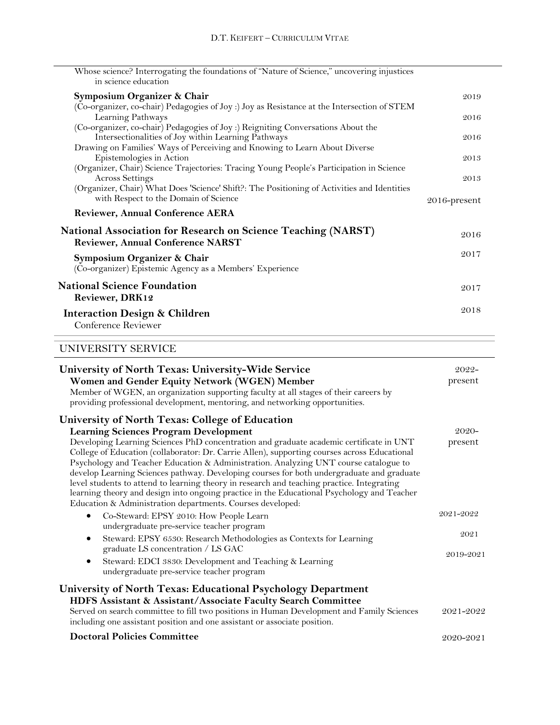| Whose science? Interrogating the foundations of "Nature of Science," uncovering injustices<br>in science education                                                                                 |              |
|----------------------------------------------------------------------------------------------------------------------------------------------------------------------------------------------------|--------------|
| Symposium Organizer & Chair                                                                                                                                                                        | 2019         |
| (Co-organizer, co-chair) Pedagogies of Joy :) Joy as Resistance at the Intersection of STEM<br>Learning Pathways                                                                                   | 2016         |
| (Co-organizer, co-chair) Pedagogies of Joy :) Reigniting Conversations About the<br>Intersectionalities of Joy within Learning Pathways                                                            | 2016         |
| Drawing on Families' Ways of Perceiving and Knowing to Learn About Diverse<br>Epistemologies in Action<br>(Organizer, Chair) Science Trajectories: Tracing Young People's Participation in Science | 2013         |
| <b>Across Settings</b><br>(Organizer, Chair) What Does 'Science' Shift?: The Positioning of Activities and Identities                                                                              | 2013         |
| with Respect to the Domain of Science                                                                                                                                                              | 2016-present |
| <b>Reviewer, Annual Conference AERA</b>                                                                                                                                                            |              |
| <b>National Association for Research on Science Teaching (NARST)</b><br><b>Reviewer, Annual Conference NARST</b>                                                                                   | 2016         |
| Symposium Organizer & Chair<br>(Co-organizer) Epistemic Agency as a Members' Experience                                                                                                            | 2017         |
| <b>National Science Foundation</b><br><b>Reviewer, DRK12</b>                                                                                                                                       | 2017         |
| <b>Interaction Design &amp; Children</b><br>Conference Reviewer                                                                                                                                    | 2018         |

# UNIVERSITY SERVICE

| University of North Texas: University-Wide Service<br>Women and Gender Equity Network (WGEN) Member<br>Member of WGEN, an organization supporting faculty at all stages of their careers by<br>providing professional development, mentoring, and networking opportunities.                                                                                                                                                                                                                                                                                                                                                            | $2022 -$<br>present |
|----------------------------------------------------------------------------------------------------------------------------------------------------------------------------------------------------------------------------------------------------------------------------------------------------------------------------------------------------------------------------------------------------------------------------------------------------------------------------------------------------------------------------------------------------------------------------------------------------------------------------------------|---------------------|
| <b>University of North Texas: College of Education</b><br><b>Learning Sciences Program Development</b>                                                                                                                                                                                                                                                                                                                                                                                                                                                                                                                                 | $2020 -$            |
| Developing Learning Sciences PhD concentration and graduate academic certificate in UNT<br>College of Education (collaborator: Dr. Carrie Allen), supporting courses across Educational<br>Psychology and Teacher Education & Administration. Analyzing UNT course catalogue to<br>develop Learning Sciences pathway. Developing courses for both undergraduate and graduate<br>level students to attend to learning theory in research and teaching practice. Integrating<br>learning theory and design into ongoing practice in the Educational Psychology and Teacher<br>Education & Administration departments. Courses developed: | present             |
| Co-Steward: EPSY 2010: How People Learn<br>٠<br>undergraduate pre-service teacher program                                                                                                                                                                                                                                                                                                                                                                                                                                                                                                                                              | 2021-2022           |
| Steward: EPSY 6530: Research Methodologies as Contexts for Learning<br>٠<br>graduate LS concentration / LS GAC<br>Steward: EDCI 3830: Development and Teaching & Learning<br>٠<br>undergraduate pre-service teacher program                                                                                                                                                                                                                                                                                                                                                                                                            | 2021<br>2019-2021   |
| University of North Texas: Educational Psychology Department<br>HDFS Assistant & Assistant/Associate Faculty Search Committee<br>Served on search committee to fill two positions in Human Development and Family Sciences<br>including one assistant position and one assistant or associate position.                                                                                                                                                                                                                                                                                                                                | 2021-2022           |
| <b>Doctoral Policies Committee</b>                                                                                                                                                                                                                                                                                                                                                                                                                                                                                                                                                                                                     | 2020-2021           |